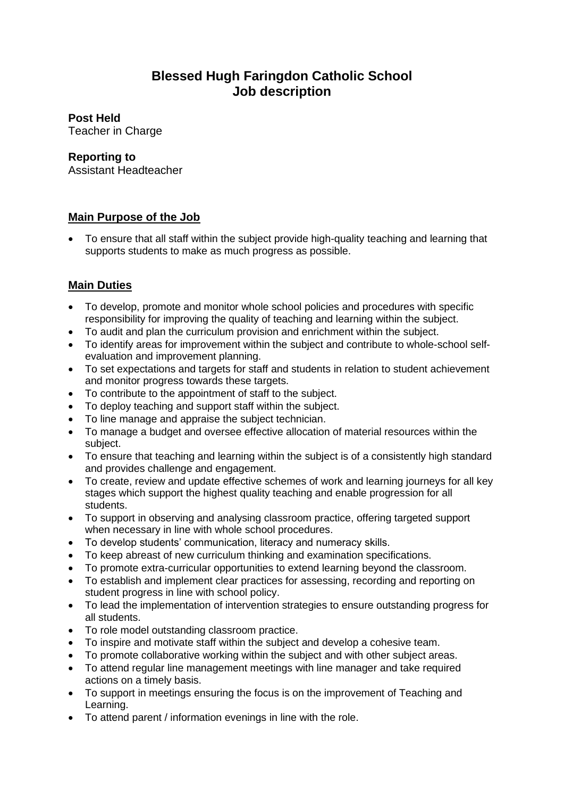# **Blessed Hugh Faringdon Catholic School Job description**

## **Post Held**

Teacher in Charge

#### **Reporting to**

Assistant Headteacher

#### **Main Purpose of the Job**

• To ensure that all staff within the subject provide high-quality teaching and learning that supports students to make as much progress as possible.

### **Main Duties**

- To develop, promote and monitor whole school policies and procedures with specific responsibility for improving the quality of teaching and learning within the subject.
- To audit and plan the curriculum provision and enrichment within the subject.
- To identify areas for improvement within the subject and contribute to whole-school selfevaluation and improvement planning.
- To set expectations and targets for staff and students in relation to student achievement and monitor progress towards these targets.
- To contribute to the appointment of staff to the subject.
- To deploy teaching and support staff within the subject.
- To line manage and appraise the subject technician.
- To manage a budget and oversee effective allocation of material resources within the subject.
- To ensure that teaching and learning within the subject is of a consistently high standard and provides challenge and engagement.
- To create, review and update effective schemes of work and learning journeys for all key stages which support the highest quality teaching and enable progression for all students.
- To support in observing and analysing classroom practice, offering targeted support when necessary in line with whole school procedures.
- To develop students' communication, literacy and numeracy skills.
- To keep abreast of new curriculum thinking and examination specifications.
- To promote extra-curricular opportunities to extend learning beyond the classroom.
- To establish and implement clear practices for assessing, recording and reporting on student progress in line with school policy.
- To lead the implementation of intervention strategies to ensure outstanding progress for all students.
- To role model outstanding classroom practice.
- To inspire and motivate staff within the subject and develop a cohesive team.
- To promote collaborative working within the subject and with other subject areas.
- To attend regular line management meetings with line manager and take required actions on a timely basis.
- To support in meetings ensuring the focus is on the improvement of Teaching and Learning.
- To attend parent / information evenings in line with the role.